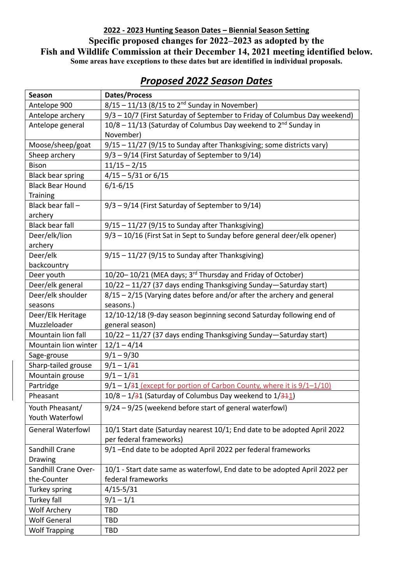## **2022 - 2023 Hunting Season Dates – Biennial Season Setting Specific proposed changes for 2022–2023 as adopted by the Fish and Wildlife Commission at their December 14, 2021 meeting identified below. Some areas have exceptions to these dates but are identified in individual proposals.**

| Season                   | <b>Dates/Process</b>                                                          |
|--------------------------|-------------------------------------------------------------------------------|
| Antelope 900             | $8/15 - 11/13$ (8/15 to 2 <sup>nd</sup> Sunday in November)                   |
| Antelope archery         | 9/3 - 10/7 (First Saturday of September to Friday of Columbus Day weekend)    |
| Antelope general         | 10/8 - 11/13 (Saturday of Columbus Day weekend to 2 <sup>nd</sup> Sunday in   |
|                          | November)                                                                     |
| Moose/sheep/goat         | 9/15 - 11/27 (9/15 to Sunday after Thanksgiving; some districts vary)         |
| Sheep archery            | $9/3 - 9/14$ (First Saturday of September to $9/14$ )                         |
| <b>Bison</b>             | $11/15 - 2/15$                                                                |
| <b>Black bear spring</b> | $4/15 - 5/31$ or 6/15                                                         |
| <b>Black Bear Hound</b>  | $6/1 - 6/15$                                                                  |
| <b>Training</b>          |                                                                               |
| Black bear fall -        | 9/3 - 9/14 (First Saturday of September to 9/14)                              |
| archery                  |                                                                               |
| <b>Black bear fall</b>   | $9/15 - 11/27$ (9/15 to Sunday after Thanksgiving)                            |
| Deer/elk/lion            | 9/3 - 10/16 (First Sat in Sept to Sunday before general deer/elk opener)      |
| archery                  |                                                                               |
| Deer/elk                 | $9/15 - 11/27$ (9/15 to Sunday after Thanksgiving)                            |
| backcountry              |                                                                               |
| Deer youth               | 10/20-10/21 (MEA days; 3rd Thursday and Friday of October)                    |
| Deer/elk general         | 10/22 - 11/27 (37 days ending Thanksgiving Sunday-Saturday start)             |
| Deer/elk shoulder        | $8/15 - 2/15$ (Varying dates before and/or after the archery and general      |
| seasons                  | seasons.)                                                                     |
| Deer/Elk Heritage        | 12/10-12/18 (9-day season beginning second Saturday following end of          |
| Muzzleloader             | general season)                                                               |
| Mountain lion fall       | 10/22 - 11/27 (37 days ending Thanksgiving Sunday-Saturday start)             |
| Mountain lion winter     | $12/1 - 4/14$                                                                 |
| Sage-grouse              | $9/1 - 9/30$                                                                  |
| Sharp-tailed grouse      | $9/1 - 1/31$                                                                  |
| Mountain grouse          | $9/1 - 1/31$                                                                  |
| Partridge                | $9/1 - 1/31$ (except for portion of Carbon County, where it is $9/1 - 1/10$ ) |
| Pheasant                 | 10/8 - 1/31 (Saturday of Columbus Day weekend to 1/311)                       |
| Youth Pheasant/          | 9/24 - 9/25 (weekend before start of general waterfowl)                       |
| Youth Waterfowl          |                                                                               |
| <b>General Waterfowl</b> | 10/1 Start date (Saturday nearest 10/1; End date to be adopted April 2022     |
|                          | per federal frameworks)                                                       |
| <b>Sandhill Crane</b>    | 9/1-End date to be adopted April 2022 per federal frameworks                  |
| Drawing                  |                                                                               |
| Sandhill Crane Over-     | 10/1 - Start date same as waterfowl, End date to be adopted April 2022 per    |
| the-Counter              | federal frameworks                                                            |
| Turkey spring            | $4/15 - 5/31$                                                                 |
| Turkey fall              | $9/1 - 1/1$                                                                   |
| <b>Wolf Archery</b>      | <b>TBD</b>                                                                    |
| <b>Wolf General</b>      | TBD                                                                           |
| <b>Wolf Trapping</b>     | TBD                                                                           |

## *Proposed 2022 Season Dates*